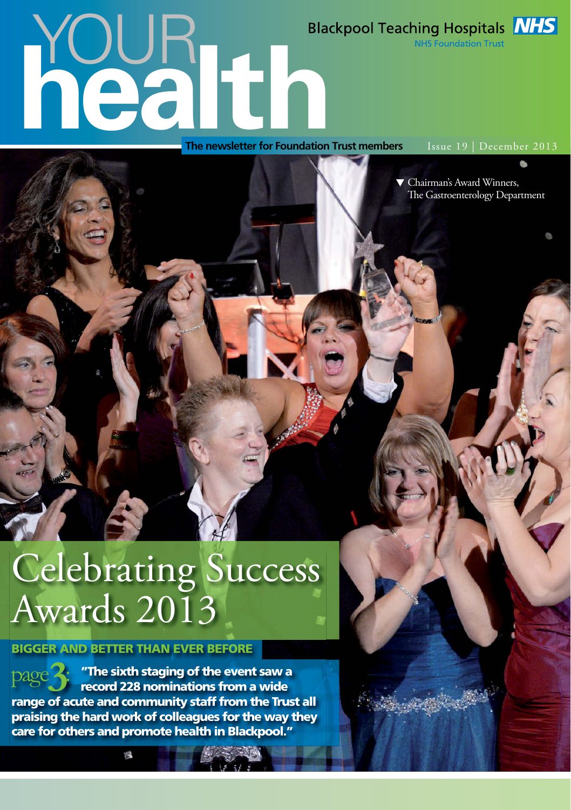## Blackpool Teaching Hospitals **NHS**<br>
MHS Foundation Trust<br> **health** Trust<br> **health** Trust<br> **health** Trust<br> **health** Trust<br> **health** Trust<br> **health** Trust<br> **health** Trust<br> **health** Trust<br> **health** Trust<br> **health** Trust<br> **hea The newsletter for Foundation Trust members**

**NHS Foundation Trus** 

 Chairman's Award Winners, The Gastroenterology Department

## Celebrating Success Awards 2013

#### BIGGER AND BETTER THAN EVER BEFORE

機

page<sup>3</sup>: "The sixth staging of the event saw a<br>| record 228 nominations from a wide<br>| range of acute and community staff from the Trust all "The sixth staging of the event saw a record 228 nominations from a wide praising the hard work of colleagues for the way they care for others and promote health in Blackpool."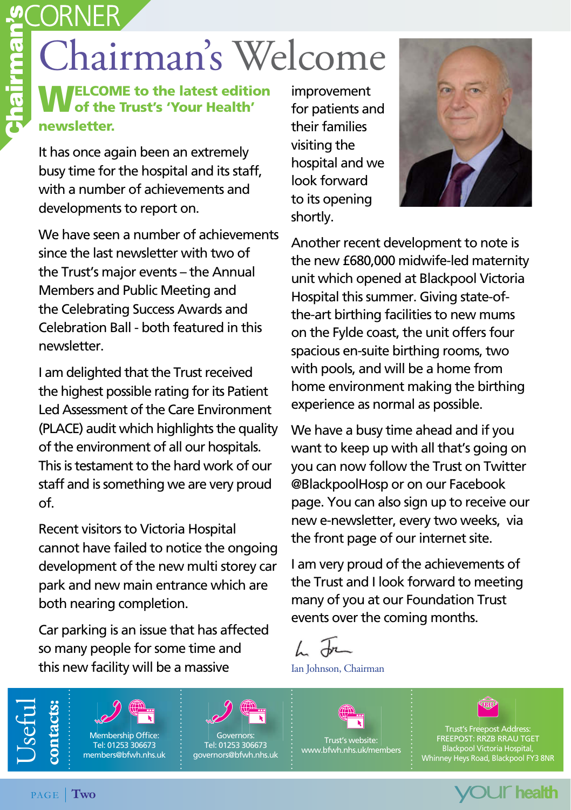## Chairman's Chairman's Welcome

WELCOME to the latest edition of the Trust's 'Your Health' newsletter.

It has once again been an extremely busy time for the hospital and its staff, with a number of achievements and developments to report on.

We have seen a number of achievements since the last newsletter with two of the Trust's major events – the Annual Members and Public Meeting and the Celebrating Success Awards and Celebration Ball - both featured in this newsletter.

I am delighted that the Trust received the highest possible rating for its Patient Led Assessment of the Care Environment (PLACE) audit which highlights the quality of the environment of all our hospitals. This is testament to the hard work of our staff and is something we are very proud of.

Recent visitors to Victoria Hospital cannot have failed to notice the ongoing development of the new multi storey car park and new main entrance which are both nearing completion.

Car parking is an issue that has affected so many people for some time and this new facility will be a massive

improvement for patients and their families visiting the hospital and we look forward to its opening shortly.



Another recent development to note is the new £680,000 midwife-led maternity unit which opened at Blackpool Victoria Hospital this summer. Giving state-ofthe-art birthing facilities to new mums on the Fylde coast, the unit offers four spacious en-suite birthing rooms, two with pools, and will be a home from home environment making the birthing experience as normal as possible.

We have a busy time ahead and if you want to keep up with all that's going on you can now follow the Trust on Twitter @BlackpoolHosp or on our Facebook page. You can also sign up to receive our new e-newsletter, every two weeks, via the front page of our internet site.

I am very proud of the achievements of the Trust and I look forward to meeting many of you at our Foundation Trust events over the coming months.

Ian Johnson, Chairman

Useful **contacts:**



Membership Office: Tel: 01253 306673 members@bfwh.nhs.uk



Governors: Tel: 01253 306673 governors@bfwh.nhs.uk

Trust's website: www.bfwh.nhs.uk/members



Trust's Freepost Address: FREEPOST: RRZB RRAU TGET Blackpool Victoria Hospital, Whinney Heys Road, Blackpool FY3 8NR

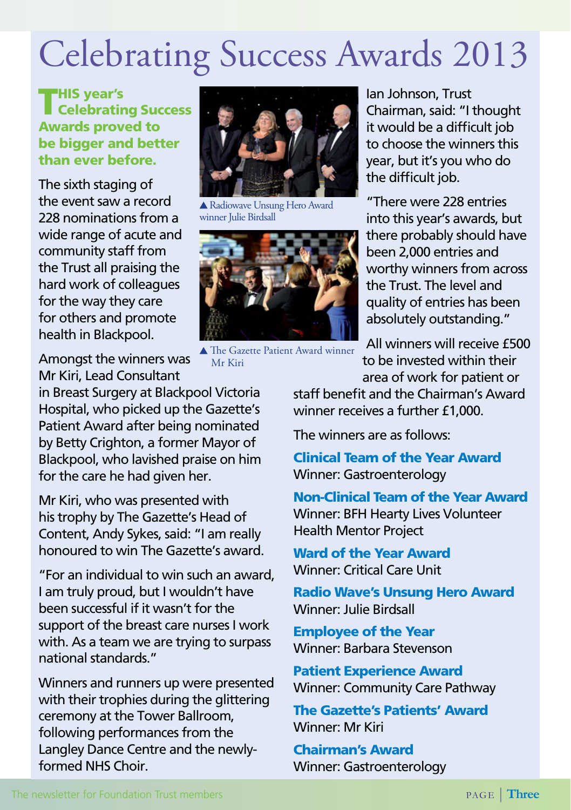## Celebrating Success Awards 2013

THIS year's Celebrating Success Awards proved to be bigger and better than ever before.

The sixth staging of the event saw a record 228 nominations from a wide range of acute and community staff from the Trust all praising the hard work of colleagues for the way they care for others and promote health in Blackpool.

Amongst the winners was Mr Kiri, Lead Consultant

in Breast Surgery at Blackpool Victoria Hospital, who picked up the Gazette's Patient Award after being nominated by Betty Crighton, a former Mayor of Blackpool, who lavished praise on him for the care he had given her.

Mr Kiri, who was presented with his trophy by The Gazette's Head of Content, Andy Sykes, said: "I am really honoured to win The Gazette's award.

"For an individual to win such an award, I am truly proud, but I wouldn't have been successful if it wasn't for the support of the breast care nurses I work with. As a team we are trying to surpass national standards."

Winners and runners up were presented with their trophies during the glittering ceremony at the Tower Ballroom, following performances from the Langley Dance Centre and the newlyformed NHS Choir.



 Radiowave Unsung Hero Award winner Julie Birdsall



▲ The Gazette Patient Award winner Mr Kiri

Ian Johnson, Trust Chairman, said: "I thought it would be a difficult job to choose the winners this year, but it's you who do the difficult job.

"There were 228 entries into this year's awards, but there probably should have been 2,000 entries and worthy winners from across the Trust. The level and quality of entries has been absolutely outstanding."

All winners will receive £500 to be invested within their area of work for patient or

staff benefit and the Chairman's Award winner receives a further £1,000.

The winners are as follows:

Clinical Team of the Year Award Winner: Gastroenterology

Non-Clinical Team of the Year Award Winner: BFH Hearty Lives Volunteer Health Mentor Project

Ward of the Year Award Winner: Critical Care Unit

Radio Wave's Unsung Hero Award Winner: Julie Birdsall

Employee of the Year Winner: Barbara Stevenson

Patient Experience Award Winner: Community Care Pathway

The Gazette's Patients' Award Winner: Mr Kiri

Chairman's Award Winner: Gastroenterology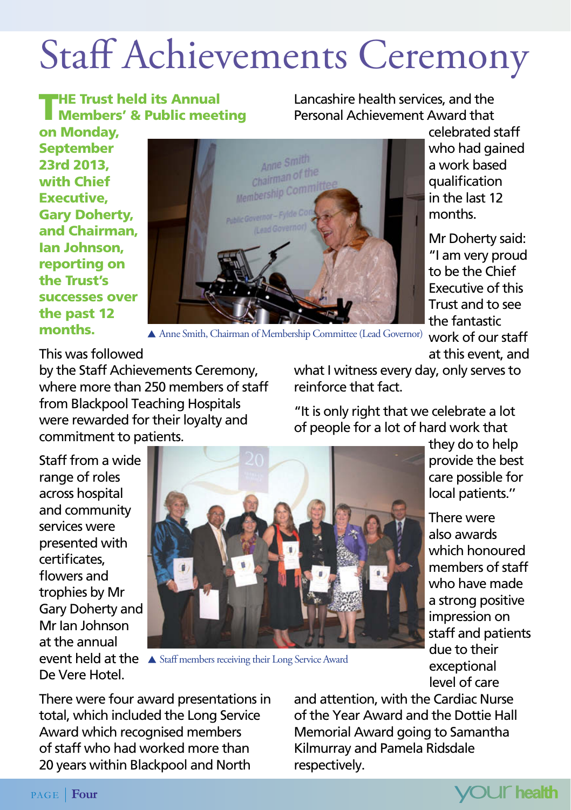## Staff Achievements Ceremony

THE Trust held its Annual Members' & Public meeting

Lancashire health services, and the Personal Achievement Award that

on Monday, September 23rd 2013, with Chief Executive, Gary Doherty, and Chairman, Ian Johnson, reporting on the Trust's successes over the past 12 months.



celebrated staff who had gained a work based **qualification** in the last 12 months.

Mr Doherty said: "I am very proud to be the Chief Executive of this Trust and to see the fantastic

at this event, and

Anne Smith, Chairman of Membership Committee (Lead Governor) work of our staff

This was followed

by the Staff Achievements Ceremony, where more than 250 members of staff from Blackpool Teaching Hospitals were rewarded for their loyalty and commitment to patients.

what I witness every day, only serves to reinforce that fact.

"It is only right that we celebrate a lot of people for a lot of hard work that

> they do to help provide the best care possible for local patients.''

There were also awards which honoured members of staff who have made a strong positive impression on staff and patients due to their exceptional level of care

Staff from a wide range of roles across hospital and community services were presented with certificates flowers and trophies by Mr Gary Doherty and Mr Ian Johnson at the annual De Vere Hotel.



event held at the  $\Delta$  Staff members receiving their Long Service Award

There were four award presentations in total, which included the Long Service Award which recognised members of staff who had worked more than 20 years within Blackpool and North

and attention, with the Cardiac Nurse of the Year Award and the Dottie Hall Memorial Award going to Samantha Kilmurray and Pamela Ridsdale respectively.

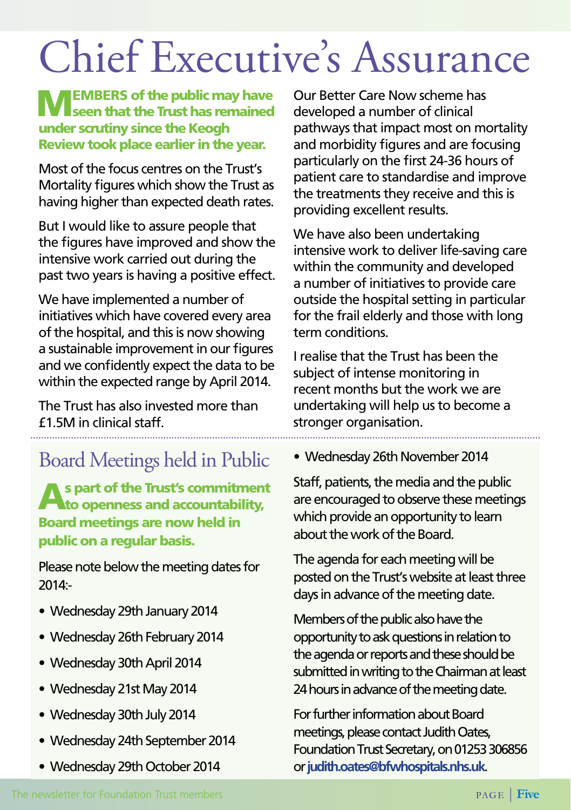## Chief Executive's Assurance

**MEMBERS of the public may have**<br>seen that the Trust has remained under scrutiny since the Keogh Review took place earlier in the year.

Most of the focus centres on the Trust's Mortality figures which show the Trust as having higher than expected death rates.

But I would like to assure people that the figures have improved and show the intensive work carried out during the past two years is having a positive effect.

We have implemented a number of initiatives which have covered every area of the hospital, and this is now showing a sustainable improvement in our figures and we confidently expect the data to be within the expected range by April 2014.

The Trust has also invested more than £1.5M in clinical staff.

## Board Meetings held in Public

s part of the Trust's commitment **to openness and accountability,** Board meetings are now held in public on a regular basis.

Please note below the meeting dates for  $2014$ :

- Wednesday 29th January 2014
- Wednesday 26th February 2014
- Wednesday 30th April 2014
- Wednesday 21st May 2014
- Wednesday 30th July 2014
- Wednesday 24th September 2014
- Wednesday 29th October 2014

Our Better Care Now scheme has developed a number of clinical pathways that impact most on mortality and morbidity figures and are focusing particularly on the first 24-36 hours of patient care to standardise and improve the treatments they receive and this is providing excellent results.

We have also been undertaking intensive work to deliver life-saving care within the community and developed a number of initiatives to provide care outside the hospital setting in particular for the frail elderly and those with long term conditions.

I realise that the Trust has been the subject of intense monitoring in recent months but the work we are undertaking will help us to become a stronger organisation.

• Wednesday 26th November 2014

Staff, patients, the media and the public are encouraged to observe these meetings which provide an opportunity to learn about the work of the Board.

The agenda for each meeting will be posted on the Trust's website at least three days in advance of the meeting date.

Members of the public also have the opportunity to ask questions in relation to the agenda or reports and these should be submitted in writing to the Chairman at least 24 hours in advance of the meeting date.

For further information about Board meetings, please contact Judith Oates, Foundation Trust Secretary, on 01253 306856 or **judith.oates@bfwhospitals.nhs.uk**.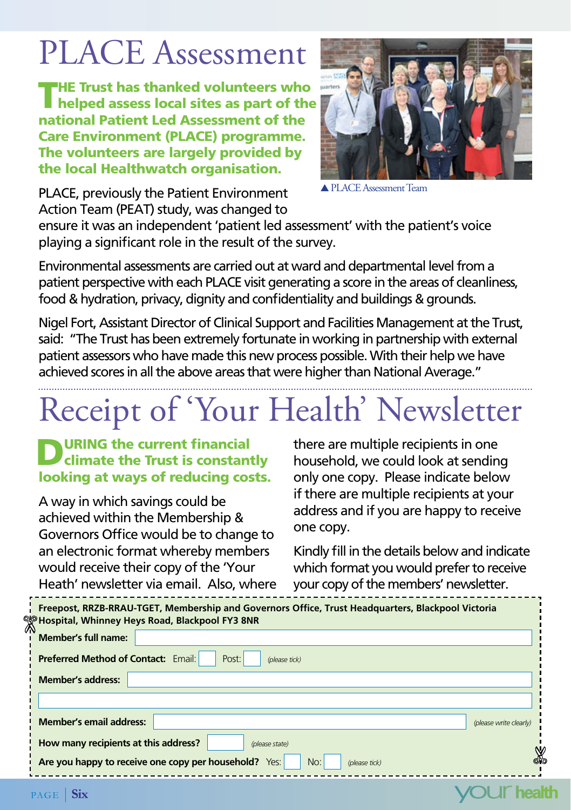## PLACE Assessment

THE Trust has thanked volunteers who<br>helped assess local sites as part of the national Patient Led Assessment of the Care Environment (PLACE) programme. The volunteers are largely provided by the local Healthwatch organisation.



▲ PLACE Assessment Team

PLACE, previously the Patient Environment Action Team (PEAT) study, was changed to

ensure it was an independent 'patient led assessment' with the patient's voice playing a significant role in the result of the survey.

Environmental assessments are carried out at ward and departmental level from a patient perspective with each PLACE visit generating a score in the areas of cleanliness, food & hydration, privacy, dignity and confidentiality and buildings & grounds.

Nigel Fort, Assistant Director of Clinical Support and Facilities Management at the Trust, said: "The Trust has been extremely fortunate in working in partnership with external patient assessors who have made this new process possible. With their help we have achieved scores in all the above areas that were higher than National Average."

## Receipt of 'Your Health' Newsletter

URING the current financial climate the Trust is constantly looking at ways of reducing costs.

A way in which savings could be achieved within the Membership & Governors Office would be to change to an electronic format whereby members would receive their copy of the 'Your Heath' newsletter via email. Also, where there are multiple recipients in one household, we could look at sending only one copy. Please indicate below if there are multiple recipients at your address and if you are happy to receive one copy.

Kindly fill in the details below and indicate which format you would prefer to receive your copy of the members' newsletter.

**Ur health** 

| Freepost, RRZB-RRAU-TGET, Membership and Governors Office, Trust Headquarters, Blackpool Victoria '<br>∜. Hospital, Whinney Heys Road, Blackpool FY3 8NR! |                        |  |
|-----------------------------------------------------------------------------------------------------------------------------------------------------------|------------------------|--|
| Member's full name:                                                                                                                                       |                        |  |
| <b>Preferred Method of Contact: Email:</b><br>Post:<br>(please tick)                                                                                      |                        |  |
| <b>Member's address:</b>                                                                                                                                  |                        |  |
|                                                                                                                                                           |                        |  |
| <b>Member's email address:</b>                                                                                                                            | (please write clearly) |  |
| How many recipients at this address?<br>(please state)                                                                                                    |                        |  |
| Are you happy to receive one copy per household? Yes:<br>No:<br>(please tick)                                                                             |                        |  |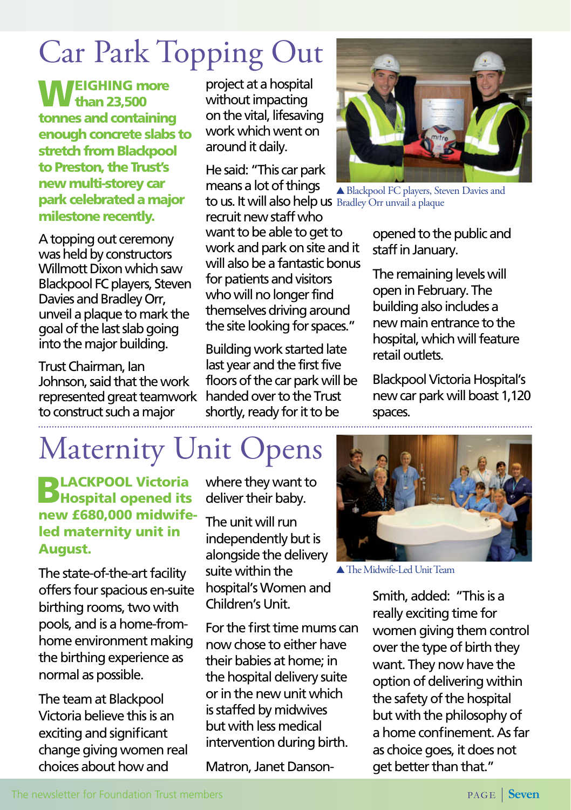## Car Park Topping Out

**FEIGHING more** than 23,500 tonnes and containing enough concrete slabs to stretch from Blackpool to Preston, the Trust's new multi-storey car park celebrated a major milestone recently.

A topping out ceremony was held by constructors Willmott Dixon which saw Blackpool FC players, Steven Davies and Bradley Orr, unveil a plaque to mark the goal of the last slab going into the major building.

Trust Chairman, Ian Johnson, said that the work represented great teamwork to construct such a major

project at a hospital without impacting on the vital, lifesaving work which went on around it daily.

He said: "This car park means a lot of things

recruit new staff who want to be able to get to work and park on site and it will also be a fantastic bonus for patients and visitors who will no longer find themselves driving around the site looking for spaces."

Building work started late last year and the first five floors of the car park will be handed over to the Trust shortly, ready for it to be



to us. It will also help us Bradley Orr unvail a plaque Blackpool FC players, Steven Davies and

opened to the public and staff in January.

The remaining levels will open in February. The building also includes a new main entrance to the hospital, which will feature retail outlets.

Blackpool Victoria Hospital's new car park will boast 1,120 spaces.

## Maternity Unit Opens

**BLACKPOOL Victoria D**Hospital opened its new £680,000 midwifeled maternity unit in August.

The state-of-the-art facility offers four spacious en-suite birthing rooms, two with pools, and is a home-fromhome environment making the birthing experience as normal as possible.

The team at Blackpool Victoria believe this is an exciting and significant change giving women real choices about how and

where they want to deliver their baby.

The unit will run independently but is alongside the delivery suite within the hospital's Women and Children's Unit.

For the first time mums can now chose to either have their babies at home; in the hospital delivery suite or in the new unit which is staffed by midwives but with less medical intervention during birth.

Matron, Janet Danson-



 $\triangle$  The Midwife-Led Unit Team

Smith, added: "This is a really exciting time for women giving them control over the type of birth they want. They now have the option of delivering within the safety of the hospital but with the philosophy of a home confinement. As far as choice goes, it does not get better than that."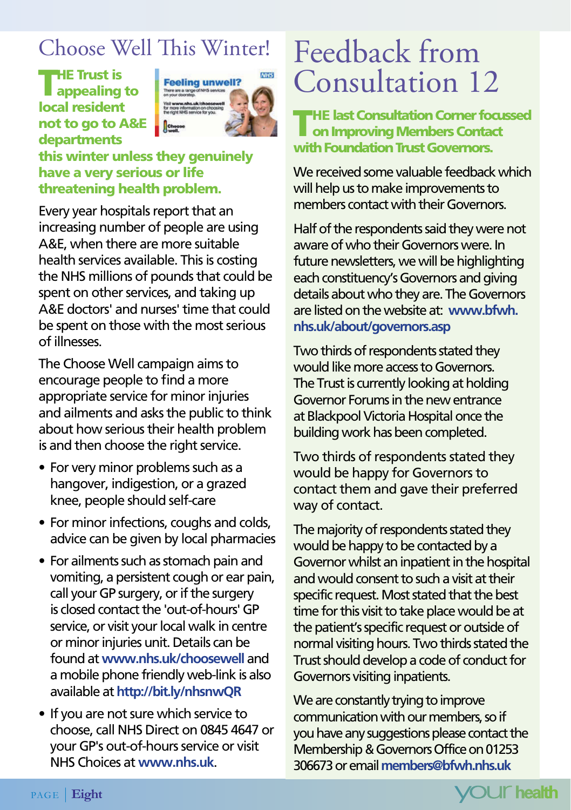## Choose Well This Winter!

**THE Trust is** appealing to local resident not to go to A&E departments



### this winter unless they genuinely have a very serious or life threatening health problem.

Every year hospitals report that an increasing number of people are using A&E, when there are more suitable health services available. This is costing the NHS millions of pounds that could be spent on other services, and taking up A&E doctors' and nurses' time that could be spent on those with the most serious of illnesses.

The Choose Well campaign aims to encourage people to find a more appropriate service for minor injuries and ailments and asks the public to think about how serious their health problem is and then choose the right service.

- For very minor problems such as a hangover, indigestion, or a grazed knee, people should self-care
- For minor infections, coughs and colds, advice can be given by local pharmacies
- For ailments such as stomach pain and vomiting, a persistent cough or ear pain, call your GP surgery, or if the surgery is closed contact the 'out-of-hours' GP service, or visit your local walk in centre or minor injuries unit. Details can be found at **www.nhs.uk/choosewell** and a mobile phone friendly web-link is also available at **http://bit.ly/nhsnwQR**
- If you are not sure which service to choose, call NHS Direct on 0845 4647 or your GP's out-of-hours service or visit NHS Choices at **www.nhs.uk**.

## Feedback from Consultation 12

THE last Consultation Corner focussed on Improving Members Contact with Foundation Trust Governors.

We received some valuable feedback which will help us to make improvements to members contact with their Governors.

Half of the respondents said they were not aware of who their Governors were. In future newsletters, we will be highlighting each constituency's Governors and giving details about who they are. The Governors are listed on the website at: **www.bfwh. nhs.uk/about/governors.asp**

Two thirds of respondents stated they would like more access to Governors. The Trust is currently looking at holding Governor Forums in the new entrance at Blackpool Victoria Hospital once the building work has been completed.

Two thirds of respondents stated they would be happy for Governors to contact them and gave their preferred way of contact.

The majority of respondents stated they would be happy to be contacted by a Governor whilst an inpatient in the hospital and would consent to such a visit at their specific request. Most stated that the best time for this visit to take place would be at the patient's specific request or outside of normal visiting hours. Two thirds stated the Trust should develop a code of conduct for Governors visiting inpatients.

We are constantly trying to improve communication with our members, so if you have any suggestions please contact the Membership & Governors Office on 01253 306673 or email **members@bfwh.nhs.uk**

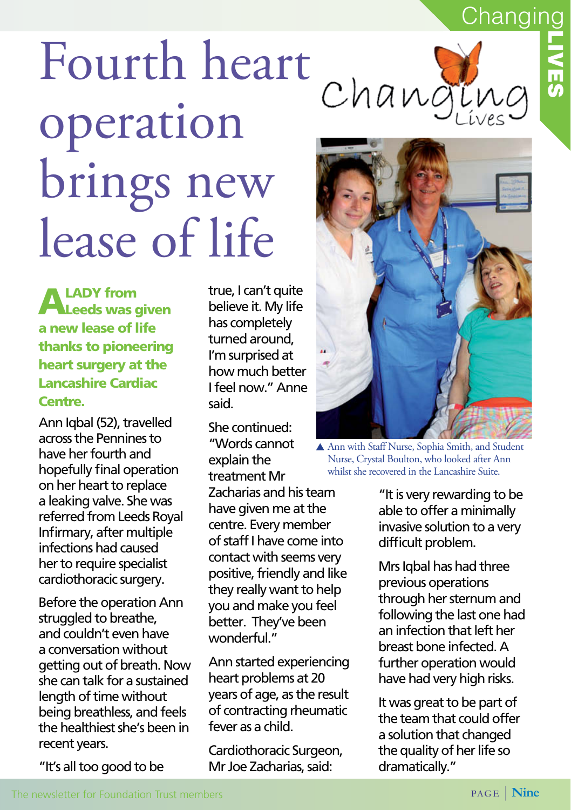## **Changing**

LIVE<br>E<br>S



**LADY** from Leeds was given a new lease of life thanks to pioneering heart surgery at the Lancashire Cardiac Centre.

Ann Iqbal (52), travelled across the Pennines to have her fourth and hopefully final operation on her heart to replace a leaking valve. She was referred from Leeds Royal Infirmary, after multiple infections had caused her to require specialist cardiothoracic surgery.

Before the operation Ann struggled to breathe, and couldn't even have a conversation without getting out of breath. Now she can talk for a sustained length of time without being breathless, and feels the healthiest she's been in recent years.

"It's all too good to be

true, I can't quite believe it. My life has completely turned around, I'm surprised at how much better I feel now." Anne said.

She continued: "Words cannot explain the treatment Mr

Zacharias and his team have given me at the centre. Every member of staff I have come into contact with seems very positive, friendly and like they really want to help you and make you feel better. They've been wonderful."

Ann started experiencing heart problems at 20 years of age, as the result of contracting rheumatic fever as a child.

Cardiothoracic Surgeon, Mr Joe Zacharias, said:



A Ann with Staff Nurse, Sophia Smith, and Student Nurse, Crystal Boulton, who looked after Ann whilst she recovered in the Lancashire Suite.

"It is very rewarding to be able to offer a minimally invasive solution to a very difficult problem.

Mrs Iqbal has had three previous operations through her sternum and following the last one had an infection that left her breast bone infected. A further operation would have had very high risks.

It was great to be part of the team that could offer a solution that changed the quality of her life so dramatically."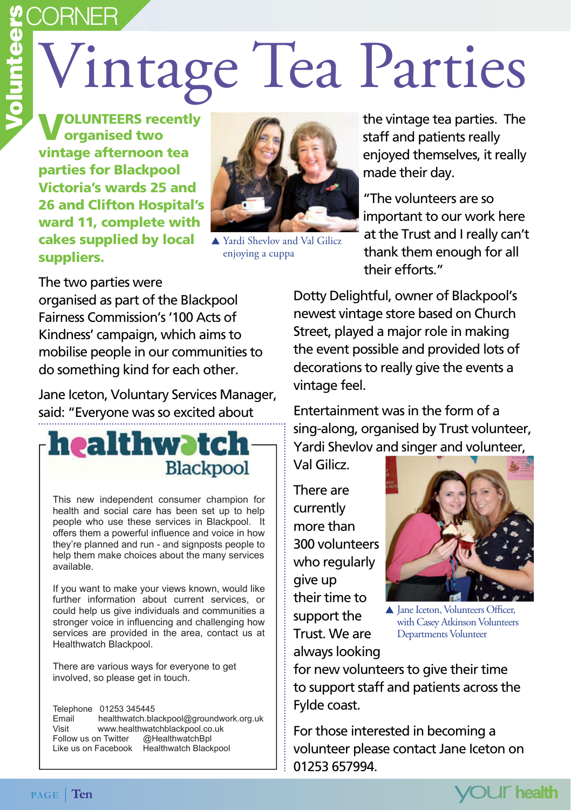## **E**<br>
Virtual<br>
S<br>
VOLUNTE Vintage Tea Parties

**OLUNTEERS recently** organised two vintage afternoon tea parties for Blackpool Victoria's wards 25 and 26 and Clifton Hospital's ward 11, complete with cakes supplied by local suppliers.



 Yardi Shevlov and Val Gilicz enjoying a cuppa

the vintage tea parties. The staff and patients really enjoyed themselves, it really made their day.

"The volunteers are so important to our work here at the Trust and I really can't thank them enough for all their efforts."

The two parties were

organised as part of the Blackpool Fairness Commission's '100 Acts of Kindness' campaign, which aims to mobilise people in our communities to do something kind for each other.

Jane Iceton, Voluntary Services Manager, said: "Everyone was so excited about



This new independent consumer champion for health and social care has been set up to help people who use these services in Blackpool. It offers them a powerful influence and voice in how they're planned and run - and signposts people to help them make choices about the many services available.

If you want to make your views known, would like further information about current services, or could help us give individuals and communities a stronger voice in influencing and challenging how services are provided in the area, contact us at Healthwatch Blackpool.

There are various ways for everyone to get involved, so please get in touch.

Telephone 01253 345445 Email healthwatch.blackpool@groundwork.org.uk<br>Visit www.bealthwatchblackpool.co.uk www.healthwatchblackpool.co.uk Follow us on Twitter @HealthwatchBpl Like us on Facebook Healthwatch Blackpool

Dotty Delightful, owner of Blackpool's newest vintage store based on Church Street, played a major role in making the event possible and provided lots of decorations to really give the events a vintage feel.

Entertainment was in the form of a sing-along, organised by Trust volunteer, Yardi Shevlov and singer and volunteer,

Val Gilicz.

There are currently more than 300 volunteers who regularly give up their time to support the Trust. We are always looking



Iane Iceton, Volunteers Officer, with Casey Atkinson Volunteers Departments Volunteer

for new volunteers to give their time to support staff and patients across the Fylde coast.

For those interested in becoming a volunteer please contact Jane Iceton on 01253 657994.

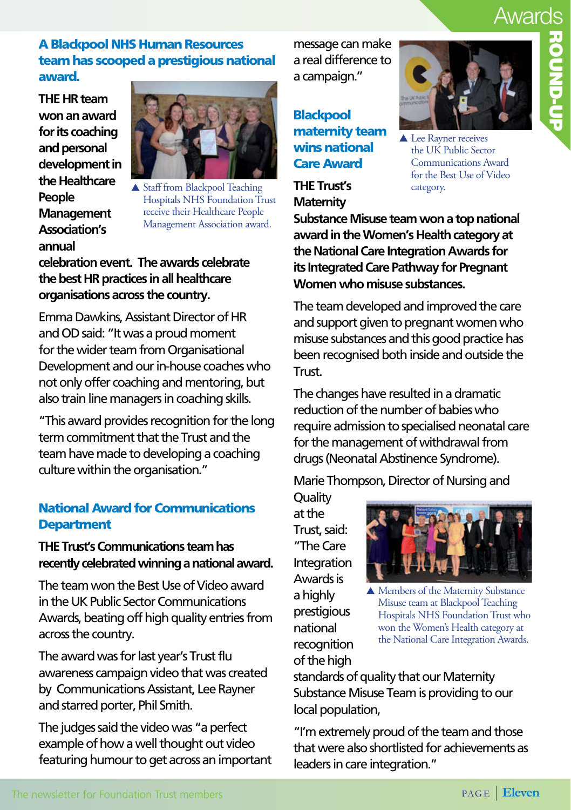### Awards

ROUND-UP

### A Blackpool NHS Human Resources team has scooped a prestigious national award.

**THE HR team won an award for its coaching and personal development in the Healthcare People Management Association's annual** 



▲ Staff from Blackpool Teaching Hospitals NHS Foundation Trust receive their Healthcare People Management Association award.

**celebration event. The awards celebrate the best HR practices in all healthcare organisations across the country.**

Emma Dawkins, Assistant Director of HR and OD said: "It was a proud moment for the wider team from Organisational Development and our in-house coaches who not only offer coaching and mentoring, but also train line managers in coaching skills.

"This award provides recognition for the long term commitment that the Trust and the team have made to developing a coaching culture within the organisation."

### National Award for Communications **Department**

### **THE Trust's Communications team has recently celebrated winning a national award.**

The team won the Best Use of Video award in the UK Public Sector Communications Awards, beating off high quality entries from across the country.

The award was for last year's Trust flu awareness campaign video that was created by Communications Assistant, Lee Rayner and starred porter, Phil Smith.

The judges said the video was "a perfect example of how a well thought out video featuring humour to get across an important message can make a real difference to a campaign.''

**Blackpool** maternity team wins national Care Award

**THE Trust's Maternity** 



▲ Lee Rayner receives the UK Public Sector Communications Award for the Best Use of Video category.

**Substance Misuse team won a top national award in the Women's Health category at the National Care Integration Awards for its Integrated Care Pathway for Pregnant Women who misuse substances.**

The team developed and improved the care and support given to pregnant women who misuse substances and this good practice has been recognised both inside and outside the Trust.

The changes have resulted in a dramatic reduction of the number of babies who require admission to specialised neonatal care for the management of withdrawal from drugs (Neonatal Abstinence Syndrome).

Marie Thompson, Director of Nursing and

**Quality** at the Trust, said: "The Care Integration Awards is a highly prestigious national recognition of the high



**A** Members of the Maternity Substance Misuse team at Blackpool Teaching Hospitals NHS Foundation Trust who won the Women's Health category at the National Care Integration Awards.

standards of quality that our Maternity Substance Misuse Team is providing to our local population,

"I'm extremely proud of the team and those that were also shortlisted for achievements as leaders in care integration."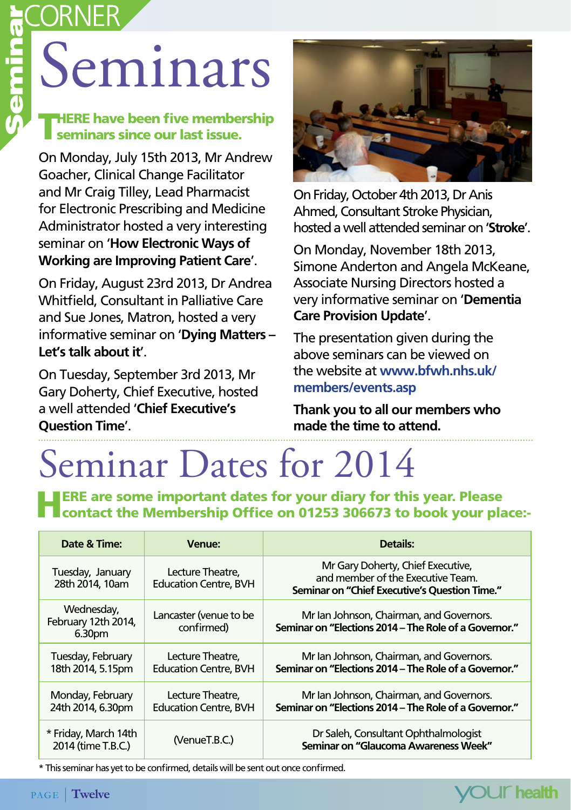## Seminars

Seminar

### **THERE have been five membership** seminars since our last issue.

On Monday, July 15th 2013, Mr Andrew Goacher, Clinical Change Facilitator and Mr Craig Tilley, Lead Pharmacist for Electronic Prescribing and Medicine Administrator hosted a very interesting seminar on '**How Electronic Ways of Working are Improving Patient Care**'.

On Friday, August 23rd 2013, Dr Andrea Whitfield, Consultant in Palliative Care and Sue Jones, Matron, hosted a very informative seminar on '**Dying Matters – Let's talk about it**'.

On Tuesday, September 3rd 2013, Mr Gary Doherty, Chief Executive, hosted a well attended '**Chief Executive's Question Time**'.



On Friday, October 4th 2013, Dr Anis Ahmed, Consultant Stroke Physician, hosted a well attended seminar on '**Stroke**'.

On Monday, November 18th 2013, Simone Anderton and Angela McKeane, Associate Nursing Directors hosted a very informative seminar on '**Dementia Care Provision Update**'.

The presentation given during the above seminars can be viewed on the website at **www.bfwh.nhs.uk/ members/events.asp**

**Thank you to all our members who made the time to attend.**

## Seminar Dates for 2014

**ERE are some important dates for your diary for this year. Please**<br>**Contact the Membership Office on 01253 306673 to book your place:** 

| Date & Time:                                | Venue:                                           | <b>Details:</b>                                                                                                         |
|---------------------------------------------|--------------------------------------------------|-------------------------------------------------------------------------------------------------------------------------|
| Tuesday, January<br>28th 2014, 10am         | Lecture Theatre.<br><b>Education Centre, BVH</b> | Mr Gary Doherty, Chief Executive,<br>and member of the Executive Team.<br>Seminar on "Chief Executive's Ouestion Time." |
| Wednesday,<br>February 12th 2014,<br>6.30pm | Lancaster (venue to be<br>confirmed)             | Mr Ian Johnson, Chairman, and Governors.<br>Seminar on "Elections 2014 - The Role of a Governor."                       |
| Tuesday, February<br>18th 2014, 5.15pm      | Lecture Theatre,<br><b>Education Centre, BVH</b> | Mr Ian Johnson, Chairman, and Governors.<br>Seminar on "Elections 2014 - The Role of a Governor."                       |
| Monday, February<br>24th 2014, 6.30pm       | Lecture Theatre,<br><b>Education Centre, BVH</b> | Mr Ian Johnson, Chairman, and Governors.<br>Seminar on "Elections 2014 - The Role of a Governor."                       |
| * Friday, March 14th<br>2014 (time T.B.C.)  | (VenueT.B.C.)                                    | Dr Saleh, Consultant Ophthalmologist<br>Seminar on "Glaucoma Awareness Week"                                            |

\* This seminar has yet to be confirmed, details will be sent out once confirmed.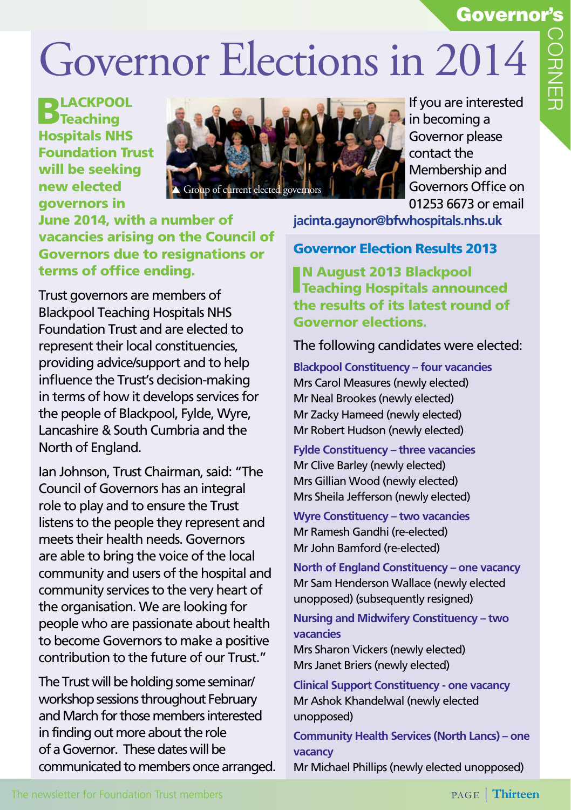### Governor's

CORNER

Ť クロロコ

## Governor Elections in 2014

**BLACKPOOL**  $\mathbf{\mathsf{D}}$ Teaching Hospitals NHS Foundation Trust will be seeking new elected governors in



If you are interested in becoming a Governor please contact the Membership and Governors Office on 01253 6673 or email

June 2014, with a number of vacancies arising on the Council of Governors due to resignations or terms of office endina.

Trust governors are members of Blackpool Teaching Hospitals NHS Foundation Trust and are elected to represent their local constituencies, providing advice/support and to help influence the Trust's decision-making in terms of how it develops services for the people of Blackpool, Fylde, Wyre, Lancashire & South Cumbria and the North of England.

Ian Johnson, Trust Chairman, said: "The Council of Governors has an integral role to play and to ensure the Trust listens to the people they represent and meets their health needs. Governors are able to bring the voice of the local community and users of the hospital and community services to the very heart of the organisation. We are looking for people who are passionate about health to become Governors to make a positive contribution to the future of our Trust."

The Trust will be holding some seminar/ workshop sessions throughout February and March for those members interested in finding out more about the role of a Governor. These dates will be communicated to members once arranged. **jacinta.gaynor@bfwhospitals.nhs.uk**

Governor Election Results 2013

IN August 2013 Blackpool<br>Teaching Hospitals announced N August 2013 Blackpool the results of its latest round of Governor elections.

The following candidates were elected:

**Blackpool Constituency – four vacancies** Mrs Carol Measures (newly elected) Mr Neal Brookes (newly elected) Mr Zacky Hameed (newly elected) Mr Robert Hudson (newly elected)

**Fylde Constituency – three vacancies** Mr Clive Barley (newly elected) Mrs Gillian Wood (newly elected) Mrs Sheila Jefferson (newly elected)

**Wyre Constituency – two vacancies** Mr Ramesh Gandhi (re-elected) Mr John Bamford (re-elected)

**North of England Constituency – one vacancy** Mr Sam Henderson Wallace (newly elected unopposed) (subsequently resigned)

**Nursing and Midwifery Constituency – two vacancies**

Mrs Sharon Vickers (newly elected) Mrs Janet Briers (newly elected)

**Clinical Support Constituency - one vacancy** Mr Ashok Khandelwal (newly elected unopposed)

**Community Health Services (North Lancs) – one vacancy**

Mr Michael Phillips (newly elected unopposed)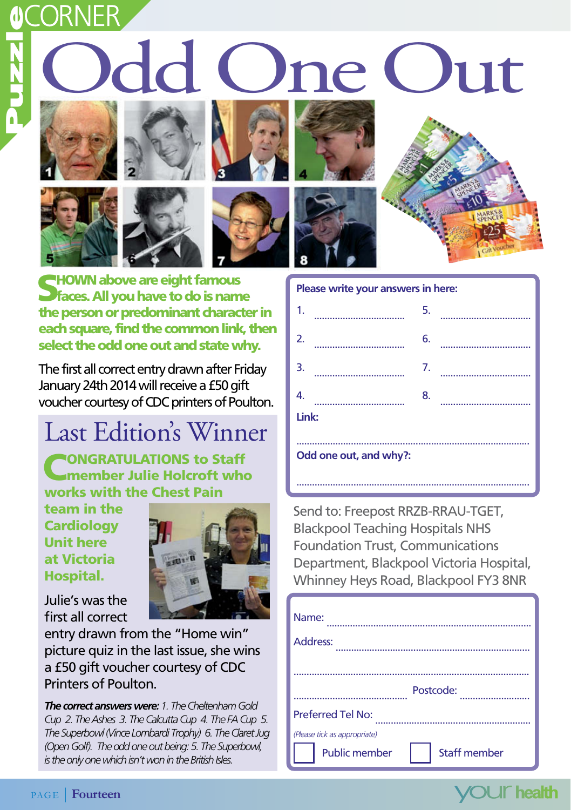# dd One Out



Puzzle













SHOWN above are eight famous<br>Sfaces. All you have to do is name the person or predominant character in each square, find the common link, then select the odd one out and state why.

The first all correct entry drawn after Friday January 24th 2014 will receive a £50 gift voucher courtesy of CDC printers of Poulton.

## Last Edition's Winner

**ONGRATULATIONS to Staff** member Julie Holcroft who works with the Chest Pain

team in the **Cardiology** Unit here at Victoria Hospital.



Julie's was the first all correct

entry drawn from the "Home win" picture quiz in the last issue, she wins a £50 gift voucher courtesy of CDC Printers of Poulton.

*The correct answers were: 1. The Cheltenham Gold Cup 2. The Ashes 3. The Calcutta Cup 4. The FA Cup 5. The Superbowl (Vince Lombardi Trophy) 6. The Claret Jug (Open Golf). The odd one out being: 5. The Superbowl, is the only one which isn't won in the British Isles.*

### **Please write your answers in here:**

|                        |    | 5. |    |  |
|------------------------|----|----|----|--|
| 2.                     |    | 6. |    |  |
|                        | 3. |    | 7. |  |
| 4.                     |    | 8. |    |  |
| Link:                  |    |    |    |  |
| Odd one out, and why?: |    |    |    |  |
|                        |    |    |    |  |

Send to: Freepost RRZB-RRAU-TGET, Blackpool Teaching Hospitals NHS Foundation Trust, Communications Department, Blackpool Victoria Hospital, Whinney Heys Road, Blackpool FY3 8NR

| Name:                                                |                     |  |
|------------------------------------------------------|---------------------|--|
| Address:                                             |                     |  |
|                                                      |                     |  |
| Postcode:                                            |                     |  |
| <b>Preferred Tel No:</b>                             |                     |  |
| (Please tick as appropriate)<br><b>Public member</b> | <b>Staff member</b> |  |

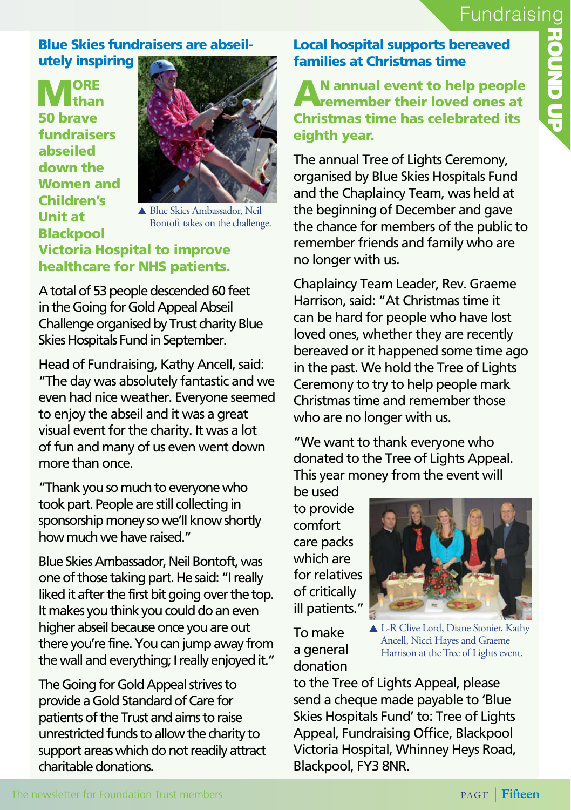### Blue Skies fundraisers are abseilutely inspiring

**M**<sup>ORE</sup><br>
<sub>19</sub> 50 brave fundraisers abseiled down the Women and Children's Unit at Blackpool



 Blue Skies Ambassador, Neil Bontoft takes on the challenge.

### Victoria Hospital to improve healthcare for NHS patients.

A total of 53 people descended 60 feet in the Going for Gold Appeal Abseil Challenge organised by Trust charity Blue Skies Hospitals Fund in September.

Head of Fundraising, Kathy Ancell, said: "The day was absolutely fantastic and we even had nice weather. Everyone seemed to enjoy the abseil and it was a great visual event for the charity. It was a lot of fun and many of us even went down more than once.

"Thank you so much to everyone who took part. People are still collecting in sponsorship money so we'll know shortly how much we have raised."

Blue Skies Ambassador, Neil Bontoft, was one of those taking part. He said: "I really liked it after the first bit going over the top. It makes you think you could do an even higher abseil because once you are out there you're fine. You can jump away from the wall and everything; I really enjoyed it."

The Going for Gold Appeal strives to provide a Gold Standard of Care for patients of the Trust and aims to raise unrestricted funds to allow the charity to support areas which do not readily attract charitable donations.

### Local hospital supports bereaved families at Christmas time

AN annual event to help people remember their loved ones at Christmas time has celebrated its eighth year.

The annual Tree of Lights Ceremony, organised by Blue Skies Hospitals Fund and the Chaplaincy Team, was held at the beginning of December and gave the chance for members of the public to remember friends and family who are no longer with us.

Chaplaincy Team Leader, Rev. Graeme Harrison, said: "At Christmas time it can be hard for people who have lost loved ones, whether they are recently bereaved or it happened some time ago in the past. We hold the Tree of Lights Ceremony to try to help people mark Christmas time and remember those who are no longer with us.

"We want to thank everyone who donated to the Tree of Lights Appeal. This year money from the event will

be used to provide comfort care packs which are for relatives of critically ill patients."

To make a general donation



▲ L-R Clive Lord, Diane Stonier, Kathy Ancell, Nicci Hayes and Graeme Harrison at the Tree of Lights event.

to the Tree of Lights Appeal, please send a cheque made payable to 'Blue Skies Hospitals Fund' to: Tree of Lights Appeal, Fundraising Office, Blackpool Victoria Hospital, Whinney Heys Road, Blackpool, FY3 8NR.